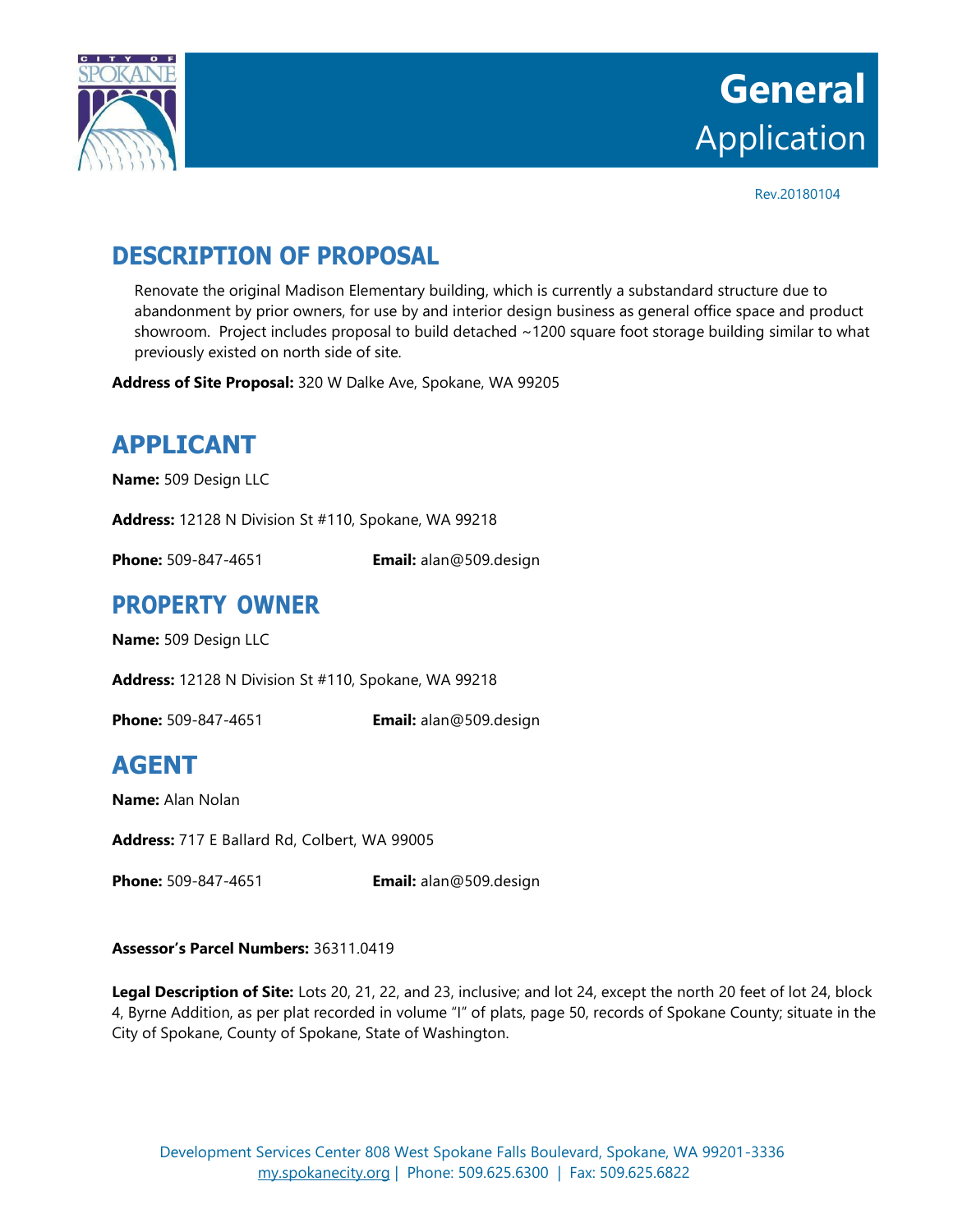

# **General** Application

Rev.20180104

# **DESCRIPTION OF PROPOSAL**

Renovate the original Madison Elementary building, which is currently a substandard structure due to abandonment by prior owners, for use by and interior design business as general office space and product showroom. Project includes proposal to build detached ~1200 square foot storage building similar to what previously existed on north side of site.

**Address of Site Proposal:** 320 W Dalke Ave, Spokane, WA 99205

# **APPLICANT**

**Name:** 509 Design LLC

**Address:** 12128 N Division St #110, Spokane, WA 99218

**Phone:** 509-847-4651 **Email:** alan@509.design

#### **PROPERTY OWNER**

**Name:** 509 Design LLC

**Address:** 12128 N Division St #110, Spokane, WA 99218

**Phone:** 509-847-4651 **Email:** alan@509.design

## **AGENT**

**Name:** Alan Nolan

**Address:** 717 E Ballard Rd, Colbert, WA 99005

**Phone:** 509-847-4651 **Email:** alan@509.design

#### **Assessor's Parcel Numbers:** 36311.0419

**Legal Description of Site:** Lots 20, 21, 22, and 23, inclusive; and lot 24, except the north 20 feet of lot 24, block 4, Byrne Addition, as per plat recorded in volume "I" of plats, page 50, records of Spokane County; situate in the City of Spokane, County of Spokane, State of Washington.